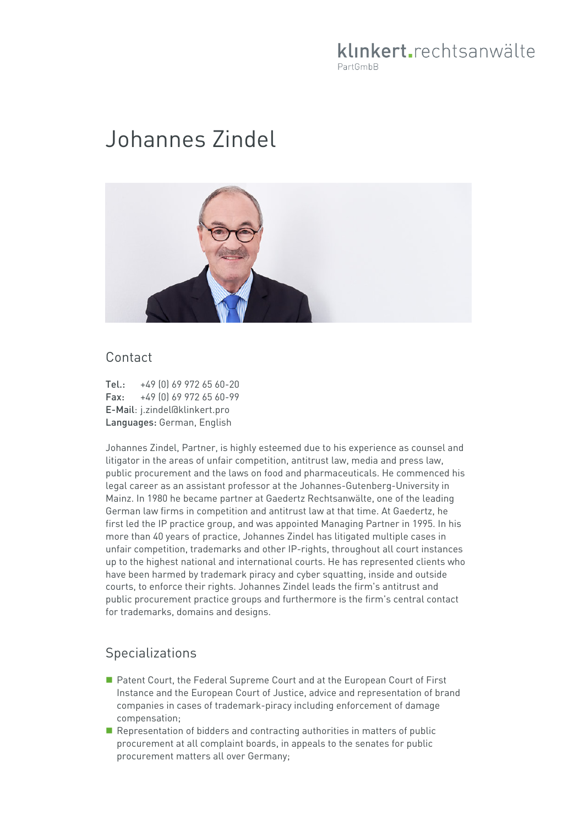## klinkert.rechtsanwälte PartGmbB

# Johannes Zindel



#### Contact

Tel.: +49 (0) 69 972 65 60-20 Fax: +49 (0) 69 972 65 60-99 E-Mail: j.zindel@klinkert.pro Languages: German, English

Johannes Zindel, Partner, is highly esteemed due to his experience as counsel and litigator in the areas of unfair competition, antitrust law, media and press law, public procurement and the laws on food and pharmaceuticals. He commenced his legal career as an assistant professor at the Johannes-Gutenberg-University in Mainz. In 1980 he became partner at Gaedertz Rechtsanwälte, one of the leading German law firms in competition and antitrust law at that time. At Gaedertz, he first led the IP practice group, and was appointed Managing Partner in 1995. In his more than 40 years of practice, Johannes Zindel has litigated multiple cases in unfair competition, trademarks and other IP-rights, throughout all court instances up to the highest national and international courts. He has represented clients who have been harmed by trademark piracy and cyber squatting, inside and outside courts, to enforce their rights. Johannes Zindel leads the firm's antitrust and public procurement practice groups and furthermore is the firm's central contact for trademarks, domains and designs.

## Specializations

- Patent Court, the Federal Supreme Court and at the European Court of First Instance and the European Court of Justice, advice and representation of brand companies in cases of trademark-piracy including enforcement of damage compensation;
- Representation of bidders and contracting authorities in matters of public procurement at all complaint boards, in appeals to the senates for public procurement matters all over Germany;